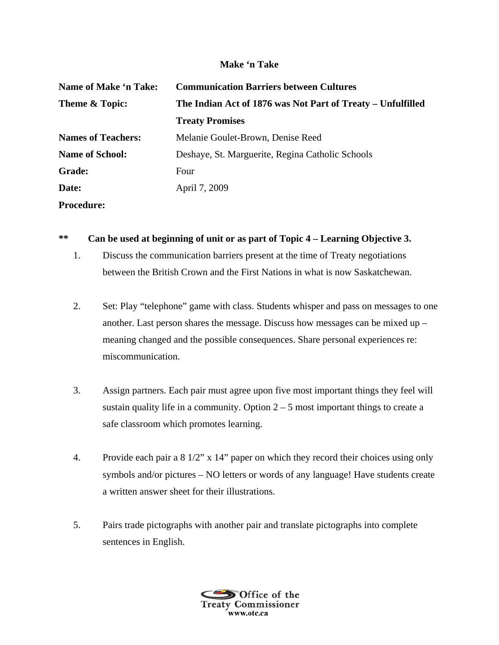## **Make 'n Take**

| <b>Name of Make 'n Take:</b> | <b>Communication Barriers between Cultures</b>              |
|------------------------------|-------------------------------------------------------------|
| <b>Theme &amp; Topic:</b>    | The Indian Act of 1876 was Not Part of Treaty – Unfulfilled |
|                              | <b>Treaty Promises</b>                                      |
| <b>Names of Teachers:</b>    | Melanie Goulet-Brown, Denise Reed                           |
| <b>Name of School:</b>       | Deshaye, St. Marguerite, Regina Catholic Schools            |
| <b>Grade:</b>                | Four                                                        |
| Date:                        | April 7, 2009                                               |
| <b>Procedure:</b>            |                                                             |

## **\*\* Can be used at beginning of unit or as part of Topic 4 – Learning Objective 3.**

- 1. Discuss the communication barriers present at the time of Treaty negotiations between the British Crown and the First Nations in what is now Saskatchewan.
- 2. Set: Play "telephone" game with class. Students whisper and pass on messages to one another. Last person shares the message. Discuss how messages can be mixed up – meaning changed and the possible consequences. Share personal experiences re: miscommunication.
- 3. Assign partners. Each pair must agree upon five most important things they feel will sustain quality life in a community. Option  $2 - 5$  most important things to create a safe classroom which promotes learning.
- 4. Provide each pair a 8 1/2" x 14" paper on which they record their choices using only symbols and/or pictures – NO letters or words of any language! Have students create a written answer sheet for their illustrations.
- 5. Pairs trade pictographs with another pair and translate pictographs into complete sentences in English.